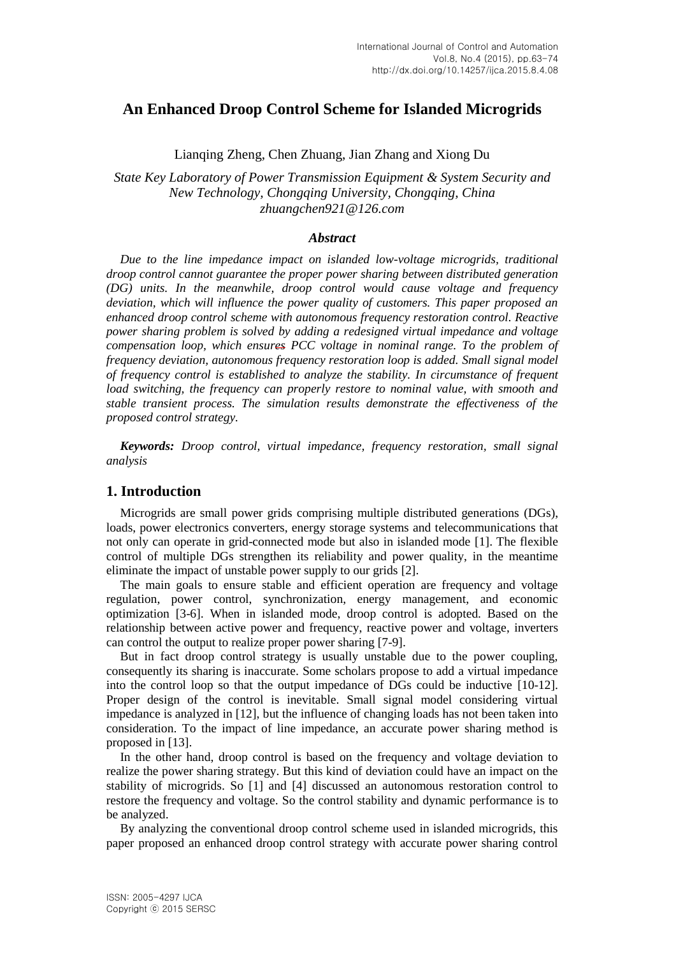# **An Enhanced Droop Control Scheme for Islanded Microgrids**

Lianqing Zheng, Chen Zhuang, Jian Zhang and Xiong Du

*State Key Laboratory of Power Transmission Equipment & System Security and New Technology, Chongqing University, Chongqing, China [zhuangchen921@126.com](mailto:zhuangchen921@126.com)*

### *Abstract*

*Due to the line impedance impact on islanded low-voltage microgrids, traditional droop control cannot guarantee the proper power sharing between distributed generation (DG) units. In the meanwhile, droop control would cause voltage and frequency deviation, which will influence the power quality of customers. This paper proposed an enhanced droop control scheme with autonomous frequency restoration control. Reactive power sharing problem is solved by adding a redesigned virtual impedance and voltage compensation loop, which ensures PCC voltage in nominal range. To the problem of frequency deviation, autonomous frequency restoration loop is added. Small signal model of frequency control is established to analyze the stability. In circumstance of frequent load switching, the frequency can properly restore to nominal value, with smooth and stable transient process. The simulation results demonstrate the effectiveness of the proposed control strategy.*

*Keywords: Droop control, virtual impedance, frequency restoration, small signal analysis*

# **1. Introduction**

Microgrids are small power grids comprising multiple distributed generations (DGs), loads, power electronics converters, energy storage systems and telecommunications that not only can operate in grid-connected mode but also in islanded mode [1]. The flexible control of multiple DGs strengthen its reliability and power quality, in the meantime eliminate the impact of unstable power supply to our grids [2].

The main goals to ensure stable and efficient operation are frequency and voltage regulation, power control, synchronization, energy management, and economic optimization [3-6]. When in islanded mode, droop control is adopted. Based on the relationship between active power and frequency, reactive power and voltage, inverters can control the output to realize proper power sharing [7-9].

But in fact droop control strategy is usually unstable due to the power coupling, consequently its sharing is inaccurate. Some scholars propose to add a virtual impedance into the control loop so that the output impedance of DGs could be inductive [10-12]. Proper design of the control is inevitable. Small signal model considering virtual impedance is analyzed in [12], but the influence of changing loads has not been taken into consideration. To the impact of line impedance, an accurate power sharing method is proposed in [13].

In the other hand, droop control is based on the frequency and voltage deviation to realize the power sharing strategy. But this kind of deviation could have an impact on the stability of microgrids. So [1] and [4] discussed an autonomous restoration control to restore the frequency and voltage. So the control stability and dynamic performance is to be analyzed.

By analyzing the conventional droop control scheme used in islanded microgrids, this paper proposed an enhanced droop control strategy with accurate power sharing control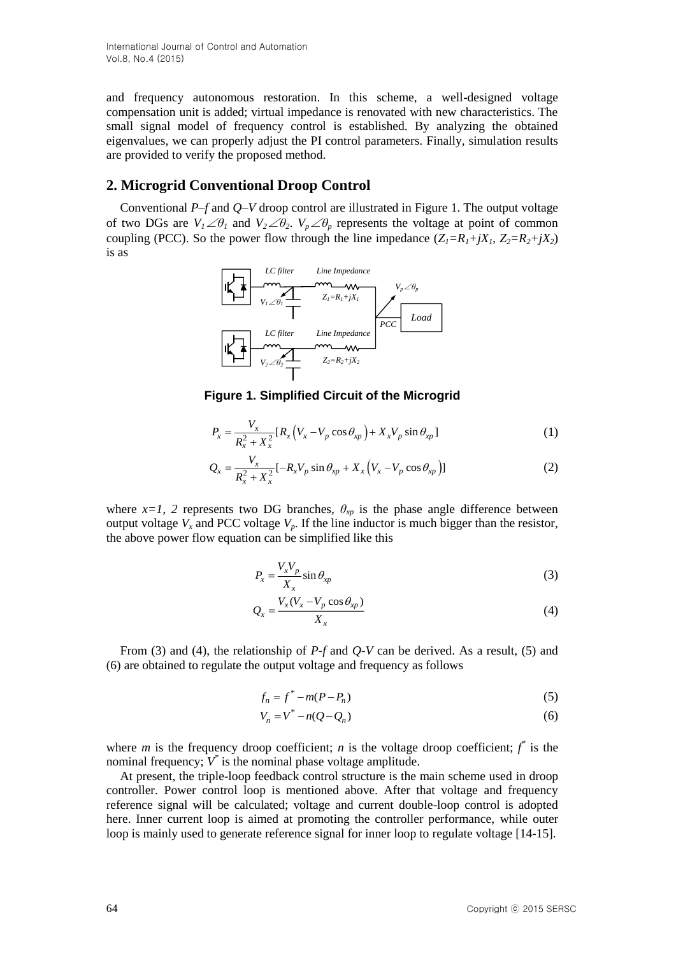and frequency autonomous restoration. In this scheme, a well-designed voltage compensation unit is added; virtual impedance is renovated with new characteristics. The small signal model of frequency control is established. By analyzing the obtained eigenvalues, we can properly adjust the PI control parameters. Finally, simulation results are provided to verify the proposed method.

# **2. Microgrid Conventional Droop Control**

Conventional *P–f* and *Q–V* droop control are illustrated in Figure 1. The output voltage of two DGs are  $V_1 \angle \theta_1$  and  $V_2 \angle \theta_2$ .  $V_p \angle \theta_p$  represents the voltage at point of common coupling (PCC). So the power flow through the line impedance  $(Z_1 = R_1 + jX_1, Z_2 = R_2 + jX_2$ is as



**Figure 1. Simplified Circuit of the Microgrid**

$$
P_x = \frac{V_x}{R_x^2 + X_x^2} [R_x (V_x - V_p \cos \theta_{xp}) + X_x V_p \sin \theta_{xp}]
$$
 (1)

$$
Q_x = \frac{V_x}{R_x^2 + X_x^2} [-R_x V_p \sin \theta_{xp} + X_x (V_x - V_p \cos \theta_{xp})]
$$
 (2)

where  $x=1$ , 2 represents two DG branches,  $\theta_{xp}$  is the phase angle difference between output voltage  $V_x$  and PCC voltage  $V_p$ . If the line inductor is much bigger than the resistor, the above power flow equation can be simplified like this

$$
P_x = \frac{V_x V_p}{X_x} \sin \theta_{xp}
$$
 (3)

$$
Q_x = \frac{V_x (V_x - V_p \cos \theta_{xp})}{X_x}
$$
 (4)

From (3) and (4), the relationship of *P-f* and *Q-V* can be derived. As a result, (5) and (6) are obtained to regulate the output voltage and frequency as follows

$$
f_n = f^* - m(P - P_n) \tag{5}
$$

$$
V_n = V^* - n(Q - Q_n) \tag{6}
$$

where *m* is the frequency droop coefficient; *n* is the voltage droop coefficient;  $f^*$  is the nominal frequency;  $V^*$  is the nominal phase voltage amplitude.

At present, the triple-loop feedback control structure is the main scheme used in droop controller. Power control loop is mentioned above. After that voltage and frequency reference signal will be calculated; voltage and current double-loop control is adopted here. Inner current loop is aimed at promoting the controller performance, while outer loop is mainly used to generate reference signal for inner loop to regulate voltage [14-15].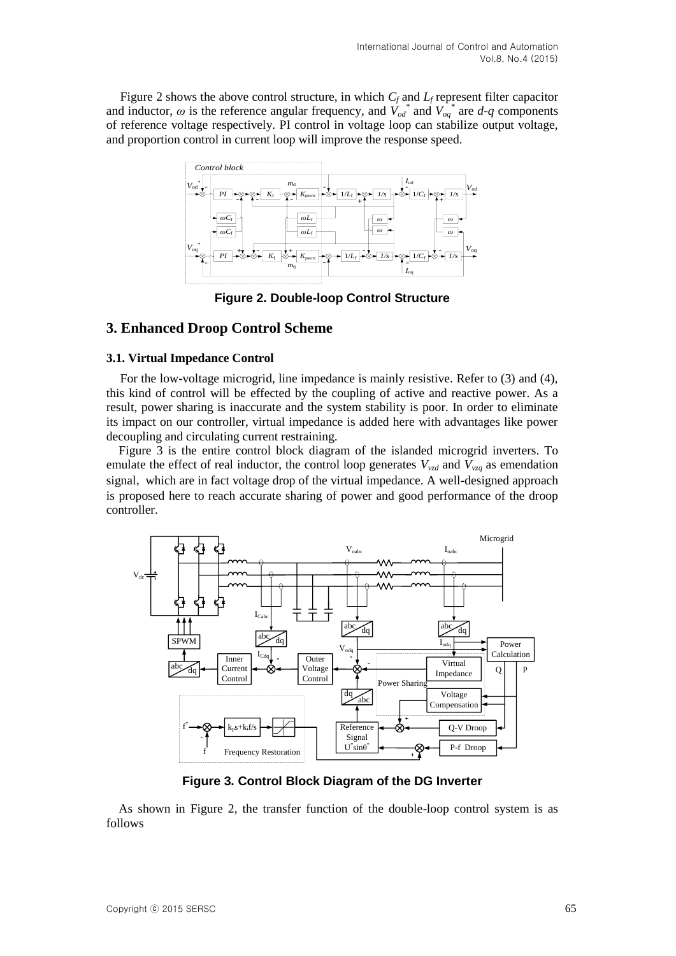Figure 2 shows the above control structure, in which *C<sup>f</sup>* and *L<sup>f</sup>* represent filter capacitor and inductor,  $\omega$  is the reference angular frequency, and  $\dot{V}_{od}^*$  and  $\dot{V}_{og}^*$  are *d*-*q* components of reference voltage respectively. PI control in voltage loop can stabilize output voltage, and proportion control in current loop will improve the response speed.



**Figure 2. Double-loop Control Structure**

# **3. Enhanced Droop Control Scheme**

### **3.1. Virtual Impedance Control**

For the low-voltage microgrid, line impedance is mainly resistive. Refer to (3) and (4), this kind of control will be effected by the coupling of active and reactive power. As a result, power sharing is inaccurate and the system stability is poor. In order to eliminate its impact on our controller, virtual impedance is added here with advantages like power decoupling and circulating current restraining.

Figure 3 is the entire control block diagram of the islanded microgrid inverters. To emulate the effect of real inductor, the control loop generates  $V_{vzd}$  and  $V_{vzd}$  as emendation signal, which are in fact voltage drop of the virtual impedance. A well-designed approach is proposed here to reach accurate sharing of power and good performance of the droop controller.



**Figure 3. Control Block Diagram of the DG Inverter**

As shown in Figure 2, the transfer function of the double-loop control system is as follows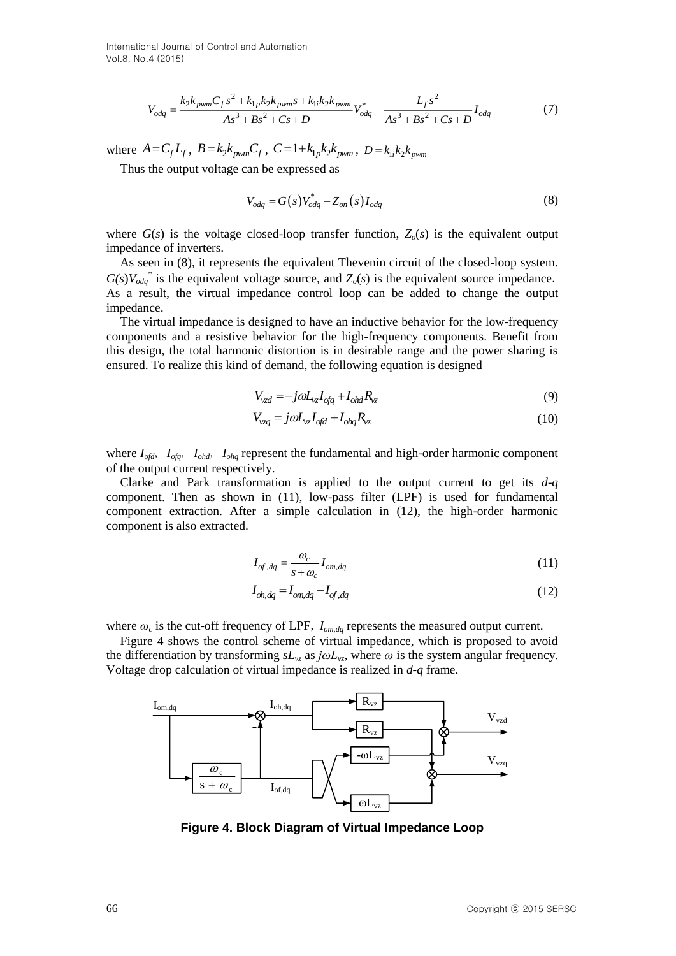International Journal of Control and Automation Vol.8, No.4 (2015)

$$
V_{odq} = \frac{k_2 k_{pwm} C_f s^2 + k_{1p} k_2 k_{pwm} s + k_{1i} k_2 k_{pwm}}{As^3 + Bs^2 + Cs + D} V_{odq}^* - \frac{L_f s^2}{As^3 + Bs^2 + Cs + D} I_{odq}
$$
 (7)

where  $A = C_f L_f$ ,  $B = k_2 k_{pwm} C_f$ ,  $C = 1 + k_{1p} k_2 k_{pwm}$ ,  $D = k_{1i} k_2 k_{pwm}$ 

Thus the output voltage can be expressed as

$$
V_{odq} = G(s)V_{odq}^* - Z_{on}(s)I_{odq}
$$
\n
$$
\tag{8}
$$

where  $G(s)$  is the voltage closed-loop transfer function,  $Z_o(s)$  is the equivalent output impedance of inverters.

As seen in (8), it represents the equivalent Thevenin circuit of the closed-loop system.  $G(s)V_{odq}$ <sup>\*</sup> is the equivalent voltage source, and  $Z_o(s)$  is the equivalent source impedance. As a result, the virtual impedance control loop can be added to change the output impedance.

The virtual impedance is designed to have an inductive behavior for the low-frequency components and a resistive behavior for the high-frequency components. Benefit from this design, the total harmonic distortion is in desirable range and the power sharing is ensured. To realize this kind of demand, the following equation is designed

$$
V_{\nu z d} = -j\omega L_{\nu z} I_{\nu q} + I_{\nu h d} R_{\nu z} \tag{9}
$$

$$
V_{\nu zq} = j\omega L_{\nu z} I_{qfd} + I_{ohq} R_{\nu z}
$$
\n(10)

where  $I_{\text{of}d}$ ,  $I_{\text{of}a}$ ,  $I_{\text{of}a}$ ,  $I_{\text{of}a}$  represent the fundamental and high-order harmonic component of the output current respectively.

Clarke and Park transformation is applied to the output current to get its *d-q* component. Then as shown in (11), low-pass filter (LPF) is used for fundamental component extraction. After a simple calculation in (12), the high-order harmonic component is also extracted.

$$
I_{of,dq} = \frac{\omega_c}{s + \omega_c} I_{om,dq}
$$
 (11)

$$
I_{oh,dq} = I_{om,dq} - I_{of,dq} \tag{12}
$$

where  $\omega_c$  is the cut-off frequency of LPF,  $I_{om, dq}$  represents the measured output current.

Figure 4 shows the control scheme of virtual impedance, which is proposed to avoid the differentiation by transforming  $sL_{vz}$  as  $j\omega L_{vz}$ , where  $\omega$  is the system angular frequency. Voltage drop calculation of virtual impedance is realized in *d-q* frame.



**Figure 4. Block Diagram of Virtual Impedance Loop**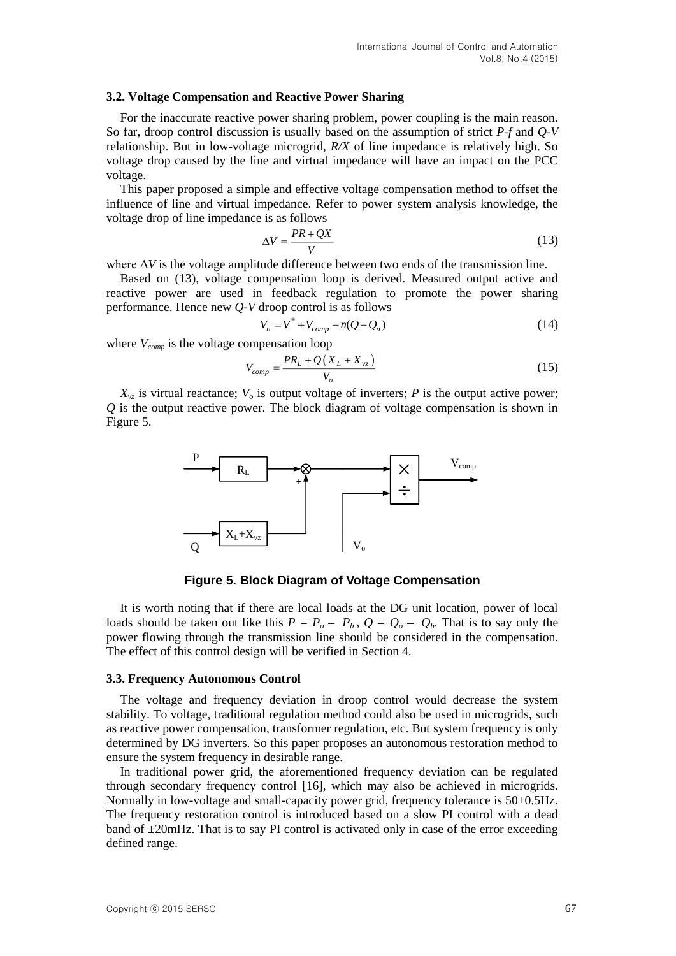#### **3.2. Voltage Compensation and Reactive Power Sharing**

For the inaccurate reactive power sharing problem, power coupling is the main reason. So far, droop control discussion is usually based on the assumption of strict *P-f* and *Q-V*  relationship. But in low-voltage microgrid, *R/X* of line impedance is relatively high. So voltage drop caused by the line and virtual impedance will have an impact on the PCC voltage.

This paper proposed a simple and effective voltage compensation method to offset the influence of line and virtual impedance. Refer to power system analysis knowledge, the voltage drop of line impedance is as follows

$$
\Delta V = \frac{PR + QX}{V} \tag{13}
$$

where Δ*V* is the voltage amplitude difference between two ends of the transmission line.

Based on (13), voltage compensation loop is derived. Measured output active and reactive power are used in feedback regulation to promote the power sharing performance. Hence new *Q-V* droop control is as follows

$$
V_n = V^* + V_{comp} - n(Q - Q_n)
$$
\n
$$
(14)
$$

where *Vcomp* is the voltage compensation loop

$$
V_{comp} = \frac{PR_L + Q(X_L + X_{vz})}{V_o} \tag{15}
$$

 $X_{yz}$  is virtual reactance;  $V_{\alpha}$  is output voltage of inverters; *P* is the output active power; *Q* is the output reactive power. The block diagram of voltage compensation is shown in Figure 5.



**Figure 5. Block Diagram of Voltage Compensation**

It is worth noting that if there are local loads at the DG unit location, power of local loads should be taken out like this  $P = P_o - P_b$ ,  $Q = Q_o - Q_b$ . That is to say only the power flowing through the transmission line should be considered in the compensation. The effect of this control design will be verified in Section 4.

#### **3.3. Frequency Autonomous Control**

The voltage and frequency deviation in droop control would decrease the system stability. To voltage, traditional regulation method could also be used in microgrids, such as reactive power compensation, transformer regulation, etc. But system frequency is only determined by DG inverters. So this paper proposes an autonomous restoration method to ensure the system frequency in desirable range.

In traditional power grid, the aforementioned frequency deviation can be regulated through secondary frequency control [16], which may also be achieved in microgrids. Normally in low-voltage and small-capacity power grid, frequency tolerance is 50±0.5Hz. The frequency restoration control is introduced based on a slow PI control with a dead band of  $\pm 20$ mHz. That is to say PI control is activated only in case of the error exceeding defined range.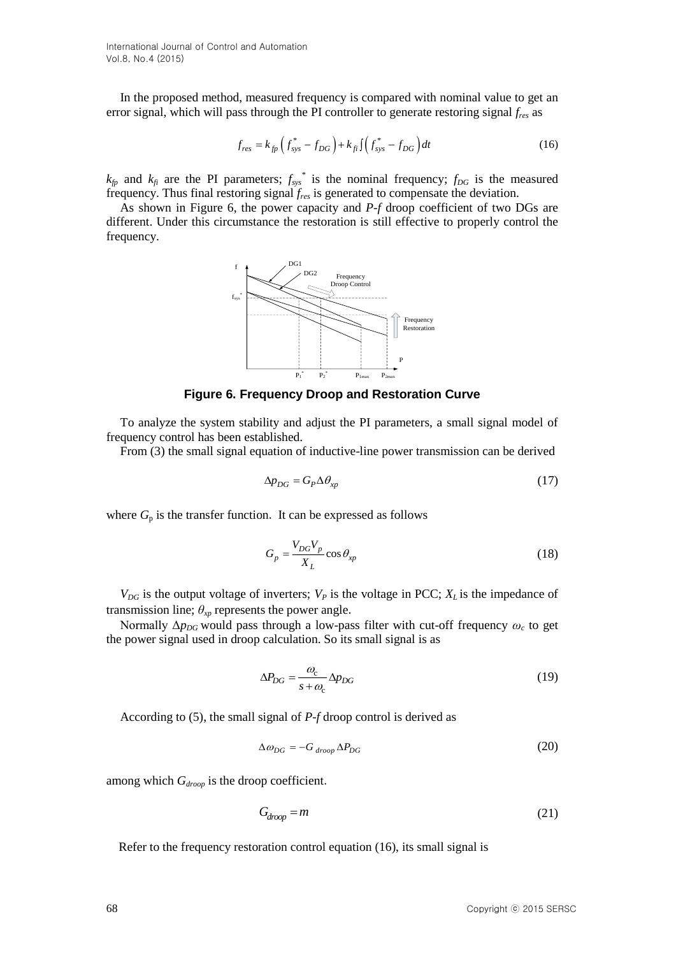In the proposed method, measured frequency is compared with nominal value to get an error signal, which will pass through the PI controller to generate restoring signal *fres* as

$$
f_{res} = k_{fp} \left( f_{sys}^* - f_{DG} \right) + k_{fi} \int \left( f_{sys}^* - f_{DG} \right) dt \tag{16}
$$

 $k_{fp}$  and  $k_{fi}$  are the PI parameters;  $f_{sys}$ <sup>\*</sup> is the nominal frequency;  $f_{DG}$  is the measured frequency. Thus final restoring signal *fres* is generated to compensate the deviation.

As shown in Figure 6, the power capacity and *P-f* droop coefficient of two DGs are different. Under this circumstance the restoration is still effective to properly control the frequency.



#### **Figure 6. Frequency Droop and Restoration Curve**

To analyze the system stability and adjust the PI parameters, a small signal model of frequency control has been established.

From (3) the small signal equation of inductive-line power transmission can be derived

$$
\Delta p_{DG} = G_P \Delta \theta_{xp} \tag{17}
$$

where  $G_p$  is the transfer function. It can be expressed as follows

$$
G_p = \frac{V_{DG}V_p}{X_L} \cos \theta_{xp}
$$
\n(18)

 $V_{DG}$  is the output voltage of inverters;  $V_P$  is the voltage in PCC;  $X_L$  is the impedance of transmission line;  $\theta_{xp}$  represents the power angle.

Normally Δ*pDG* would pass through a low-pass filter with cut-off frequency *ω<sup>c</sup>* to get the power signal used in droop calculation. So its small signal is as

$$
\Delta P_{DG} = \frac{\omega_c}{s + \omega_c} \Delta p_{DG} \tag{19}
$$

According to (5), the small signal of *P-f* droop control is derived as

$$
\Delta \omega_{DG} = -G_{\text{drop}} \Delta P_{DG} \tag{20}
$$

among which *Gdroop* is the droop coefficient.

$$
G_{\text{drop}} = m \tag{21}
$$

Refer to the frequency restoration control equation (16), its small signal is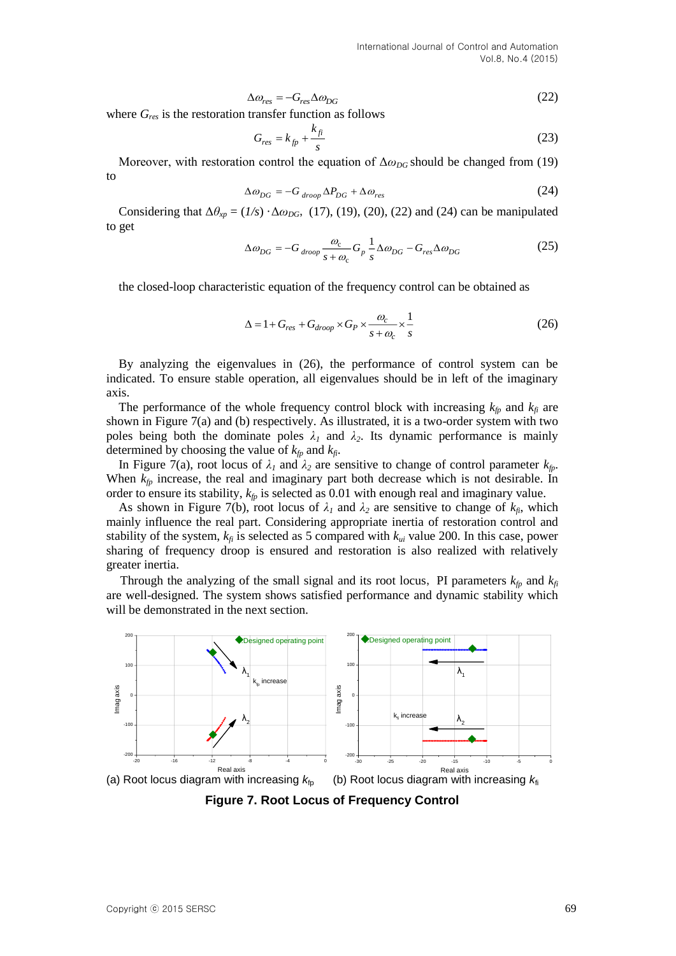$$
\Delta \omega_{res} = -G_{res} \Delta \omega_{DG} \tag{22}
$$

where *Gres* is the restoration transfer function as follows

$$
G_{res} = k_{fp} + \frac{k_{fi}}{s} \tag{23}
$$

Moreover, with restoration control the equation of  $\Delta \omega_{DG}$  should be changed from (19) to

$$
\Delta \omega_{DG} = -G_{\text{drop}} \Delta P_{DG} + \Delta \omega_{res} \tag{24}
$$

Considering that  $\Delta\theta_{xp} = (1/s) \cdot \Delta\omega_{DG}$ , (17), (19), (20), (22) and (24) can be manipulated to get

$$
\Delta \omega_{DG} = -G_{\text{drop}} \frac{\omega_c}{s + \omega_c} G_p \frac{1}{s} \Delta \omega_{DG} - G_{res} \Delta \omega_{DG}
$$
 (25)

the closed-loop characteristic equation of the frequency control can be obtained as

$$
\Delta = 1 + G_{res} + G_{droop} \times G_P \times \frac{\omega_c}{s + \omega_c} \times \frac{1}{s}
$$
 (26)

By analyzing the eigenvalues in (26), the performance of control system can be indicated. To ensure stable operation, all eigenvalues should be in left of the imaginary axis.

The performance of the whole frequency control block with increasing  $k_{fp}$  and  $k_{fi}$  are shown in Figure 7(a) and (b) respectively. As illustrated, it is a two-order system with two poles being both the dominate poles  $\lambda_1$  and  $\lambda_2$ . Its dynamic performance is mainly determined by choosing the value of  $k_{fp}$  and  $k_{fi}$ .

In Figure 7(a), root locus of  $\lambda_1$  and  $\lambda_2$  are sensitive to change of control parameter  $k_{fp}$ . When  $k_p$  increase, the real and imaginary part both decrease which is not desirable. In order to ensure its stability,  $k_p$  is selected as 0.01 with enough real and imaginary value.

As shown in Figure 7(b), root locus of  $\lambda_1$  and  $\lambda_2$  are sensitive to change of  $k_{fi}$ , which mainly influence the real part. Considering appropriate inertia of restoration control and stability of the system,  $k_f$  is selected as 5 compared with  $k_{ui}$  value 200. In this case, power sharing of frequency droop is ensured and restoration is also realized with relatively greater inertia.

Through the analyzing of the small signal and its root locus, PI parameters  $k_{fp}$  and  $k_{fi}$ are well-designed. The system shows satisfied performance and dynamic stability which will be demonstrated in the next section.



**Figure 7. Root Locus of Frequency Control**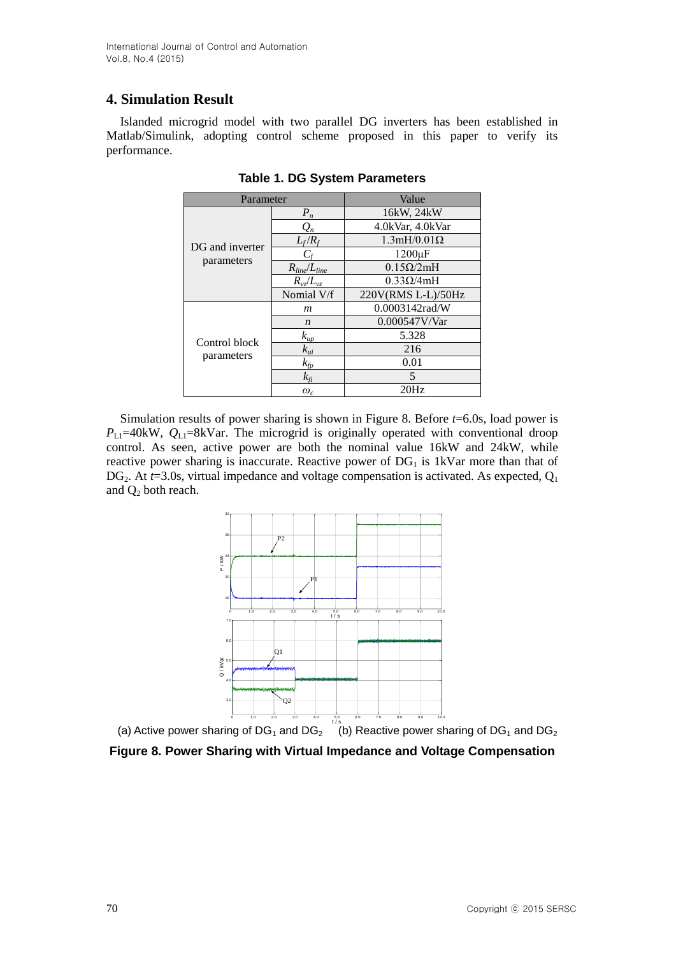# **4. Simulation Result**

Islanded microgrid model with two parallel DG inverters has been established in Matlab/Simulink, adopting control scheme proposed in this paper to verify its performance.

| Parameter                     |                     | Value              |
|-------------------------------|---------------------|--------------------|
| DG and inverter<br>parameters | $P_n$               | 16kW, 24kW         |
|                               | $\mathcal{Q}_n$     | 4.0kVar, 4.0kVar   |
|                               | $L_f/R_f$           | $1.3mH/0.01\Omega$ |
|                               |                     | $1200 \mu F$       |
|                               | $R_{line}/L_{line}$ | $0.15\Omega/2mH$   |
|                               | $R_{vz}/L_{vz}$     | $0.33\Omega/4mH$   |
|                               | Nomial V/f          | 220V(RMS L-L)/50Hz |
| Control block<br>parameters   | m                   | 0.0003142 rad/W    |
|                               | $\boldsymbol{n}$    | 0.000547V/Var      |
|                               | $k_{\mu p}$         | 5.328              |
|                               | $k_{ui}$            | 216                |
|                               | $k_{fp}$            | 0.01               |
|                               | $k_{\rm fi}$        | 5                  |
|                               | $\omega_c$          | 20Hz               |

**Table 1. DG System Parameters**

Simulation results of power sharing is shown in Figure 8. Before *t*=6.0s, load power is  $P_{\text{L1}}$ =40kW,  $Q_{\text{L1}}$ =8kVar. The microgrid is originally operated with conventional droop control. As seen, active power are both the nominal value 16kW and 24kW, while reactive power sharing is inaccurate. Reactive power of  $DG<sub>1</sub>$  is 1kVar more than that of  $DG_2$ . At  $t=3.0$ s, virtual impedance and voltage compensation is activated. As expected,  $Q_1$ and  $Q_2$  both reach.



(a) Active power sharing of DG<sub>1</sub> and DG<sub>2</sub> (b) Reactive power sharing of DG<sub>1</sub> and DG<sub>2</sub>

**Figure 8. Power Sharing with Virtual Impedance and Voltage Compensation**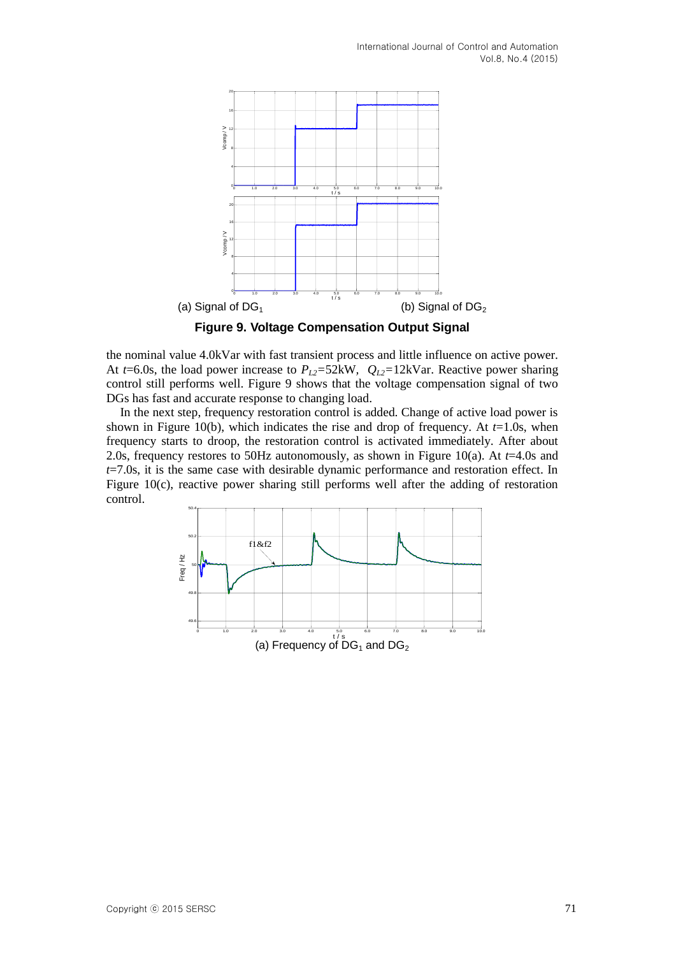

the nominal value 4.0kVar with fast transient process and little influence on active power. At *t*=6.0s, the load power increase to  $P_{L2}$ =52kW,  $Q_{L2}$ =12kVar. Reactive power sharing control still performs well. Figure 9 shows that the voltage compensation signal of two DGs has fast and accurate response to changing load.

In the next step, frequency restoration control is added. Change of active load power is shown in Figure 10(b), which indicates the rise and drop of frequency. At  $t=1.0$ s, when frequency starts to droop, the restoration control is activated immediately. After about 2.0s, frequency restores to 50Hz autonomously, as shown in Figure 10(a). At *t*=4.0s and *t*=7.0s, it is the same case with desirable dynamic performance and restoration effect. In Figure 10(c), reactive power sharing still performs well after the adding of restoration control.

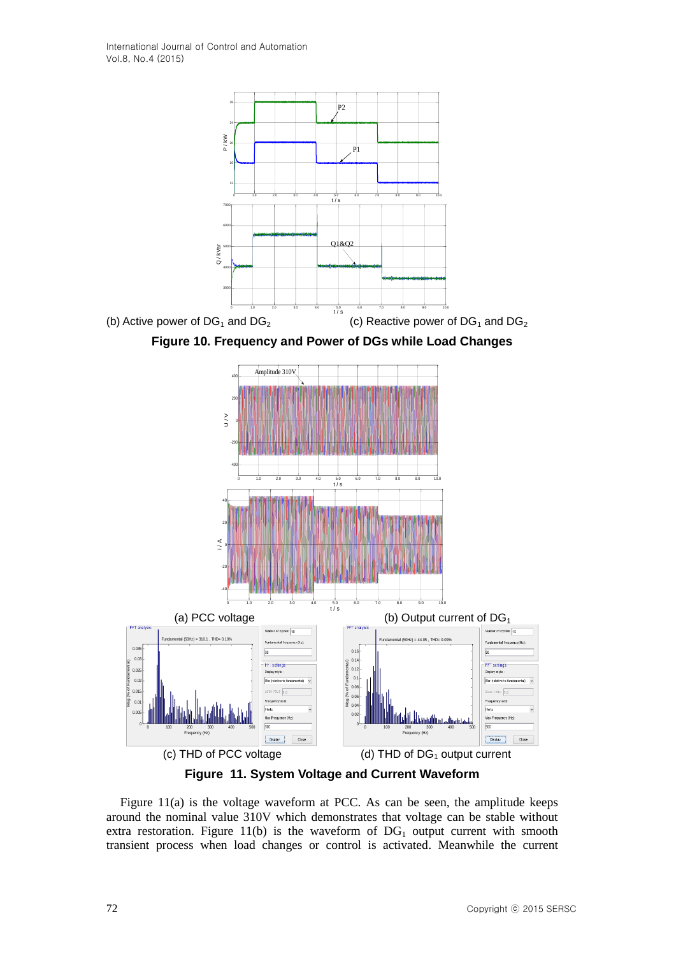



**Figure 11. System Voltage and Current Waveform**

Figure 11(a) is the voltage waveform at PCC. As can be seen, the amplitude keeps around the nominal value 310V which demonstrates that voltage can be stable without extra restoration. Figure 11(b) is the waveform of  $DG<sub>1</sub>$  output current with smooth transient process when load changes or control is activated. Meanwhile the current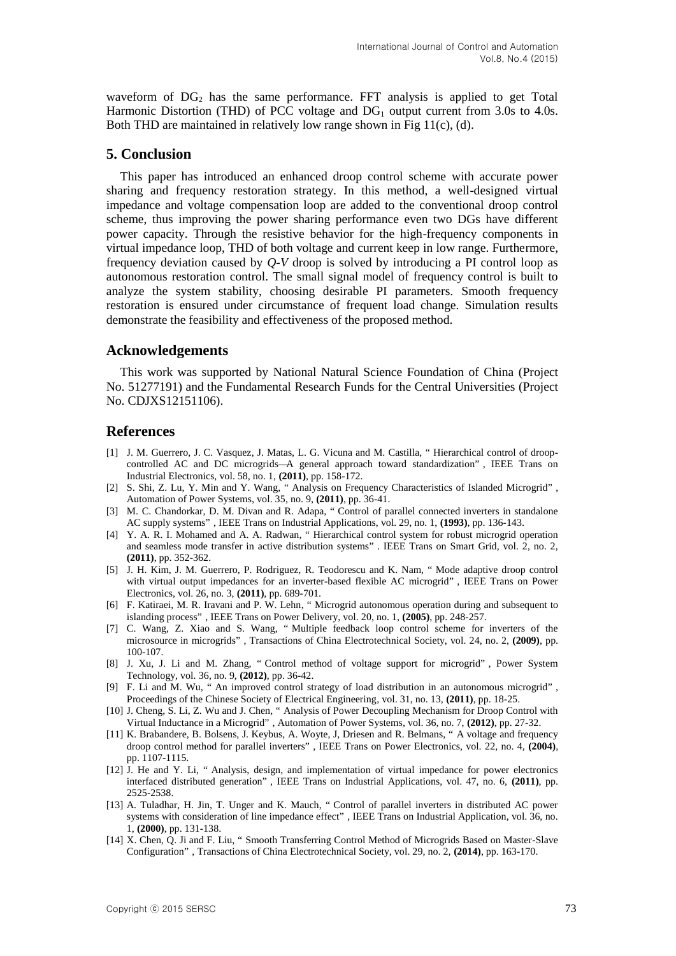waveform of  $DG_2$  has the same performance. FFT analysis is applied to get Total Harmonic Distortion (THD) of PCC voltage and  $DG_1$  output current from 3.0s to 4.0s. Both THD are maintained in relatively low range shown in Fig 11(c), (d).

# **5. Conclusion**

This paper has introduced an enhanced droop control scheme with accurate power sharing and frequency restoration strategy. In this method, a well-designed virtual impedance and voltage compensation loop are added to the conventional droop control scheme, thus improving the power sharing performance even two DGs have different power capacity. Through the resistive behavior for the high-frequency components in virtual impedance loop, THD of both voltage and current keep in low range. Furthermore, frequency deviation caused by *Q-V* droop is solved by introducing a PI control loop as autonomous restoration control. The small signal model of frequency control is built to analyze the system stability, choosing desirable PI parameters. Smooth frequency restoration is ensured under circumstance of frequent load change. Simulation results demonstrate the feasibility and effectiveness of the proposed method.

## **Acknowledgements**

This work was supported by National Natural Science Foundation of China (Project No. 51277191) and the Fundamental Research Funds for the Central Universities (Project No. CDJXS12151106).

### **References**

- [1] J. M. Guerrero, J. C. Vasquez, J. Matas, L. G. Vicuna and M. Castilla, " Hierarchical control of droopcontrolled AC and DC microgrids— A general approach toward standardization" , IEEE Trans on Industrial Electronics, vol. 58, no. 1, **(2011)**, pp. 158-172.
- [2] S. Shi, Z. Lu, Y. Min and Y. Wang, " Analysis on Frequency Characteristics of Islanded Microgrid" , Automation of Power Systems, vol. 35, no. 9, **(2011)**, pp. 36-41.
- [3] M. C. Chandorkar, D. M. Divan and R. Adapa, " Control of parallel connected inverters in standalone AC supply systems" , IEEE Trans on Industrial Applications, vol. 29, no. 1, **(1993)**, pp. 136-143.
- [4] Y. A. R. I. Mohamed and A. A. Radwan, " Hierarchical control system for robust microgrid operation and seamless mode transfer in active distribution systems" . IEEE Trans on Smart Grid, vol. 2, no. 2, **(2011)**, pp. 352-362.
- [5] J. H. Kim, J. M. Guerrero, P. Rodriguez, R. Teodorescu and K. Nam, " Mode adaptive droop control with virtual output impedances for an inverter-based flexible AC microgrid" , IEEE Trans on Power Electronics, vol. 26, no. 3, **(2011)**, pp. 689-701.
- [6] F. Katiraei, M. R. Iravani and P. W. Lehn, " Microgrid autonomous operation during and subsequent to islanding process" , IEEE Trans on Power Delivery, vol. 20, no. 1, **(2005)**, pp. 248-257.
- [7] C. Wang, Z. Xiao and S. Wang, " Multiple feedback loop control scheme for inverters of the microsource in microgrids" , Transactions of China Electrotechnical Society, vol. 24, no. 2, **(2009)**, pp. 100-107.
- [8] J. Xu, J. Li and M. Zhang, " Control method of voltage support for microgrid" , Power System Technology, vol. 36, no. 9, **(2012)**, pp. 36-42.
- [9] F. Li and M. Wu, " An improved control strategy of load distribution in an autonomous microgrid" , Proceedings of the Chinese Society of Electrical Engineering, vol. 31, no. 13, **(2011)**, pp. 18-25.
- [10] J. Cheng, S. Li, Z. Wu and J. Chen, " Analysis of Power Decoupling Mechanism for Droop Control with Virtual Inductance in a Microgrid" , Automation of Power Systems, vol. 36, no. 7, **(2012)**, pp. 27-32.
- [11] K. Brabandere, B. Bolsens, J. Keybus, A. Woyte, J, Driesen and R. Belmans, " A voltage and frequency droop control method for parallel inverters" , IEEE Trans on Power Electronics, vol. 22, no. 4, **(2004)**, pp. 1107-1115.
- [12] J. He and Y. Li, " Analysis, design, and implementation of virtual impedance for power electronics interfaced distributed generation" , IEEE Trans on Industrial Applications, vol. 47, no. 6, **(2011)**, pp. 2525-2538.
- [13] A. Tuladhar, H. Jin, T. Unger and K. Mauch, " Control of parallel inverters in distributed AC power systems with consideration of line impedance effect" , IEEE Trans on Industrial Application, vol. 36, no. 1, **(2000)**, pp. 131-138.
- [14] X. Chen, Q. Ji and F. Liu, " Smooth Transferring Control Method of Microgrids Based on Master-Slave Configuration" , Transactions of China Electrotechnical Society, vol. 29, no. 2, **(2014)**, pp. 163-170.